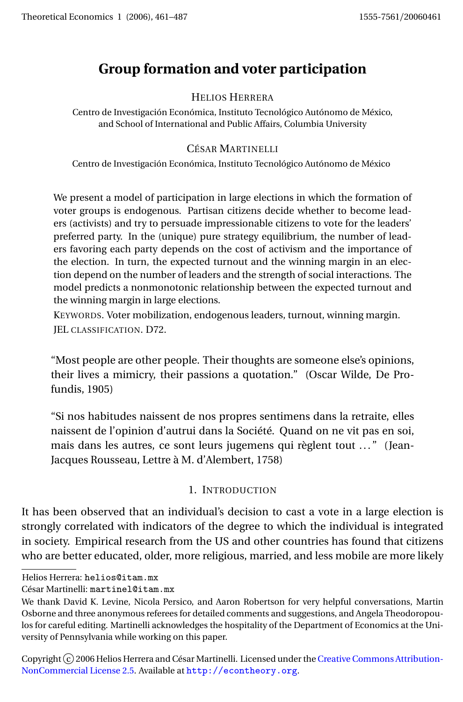# **Group formation and voter participation**

# HELIOS HERRERA

Centro de Investigación Económica, Instituto Tecnológico Autónomo de México, and School of International and Public Affairs, Columbia University

# CÉSAR MARTINELLI

Centro de Investigación Económica, Instituto Tecnológico Autónomo de México

We present a model of participation in large elections in which the formation of voter groups is endogenous. Partisan citizens decide whether to become leaders (activists) and try to persuade impressionable citizens to vote for the leaders' preferred party. In the (unique) pure strategy equilibrium, the number of leaders favoring each party depends on the cost of activism and the importance of the election. In turn, the expected turnout and the winning margin in an election depend on the number of leaders and the strength of social interactions. The model predicts a nonmonotonic relationship between the expected turnout and the winning margin in large elections.

KEYWORDS. Voter mobilization, endogenous leaders, turnout, winning margin. JEL CLASSIFICATION. D72.

"Most people are other people. Their thoughts are someone else's opinions, their lives a mimicry, their passions a quotation." (Oscar Wilde, De Profundis, 1905)

"Si nos habitudes naissent de nos propres sentimens dans la retraite, elles naissent de l'opinion d'autrui dans la Société. Quand on ne vit pas en soi, mais dans les autres, ce sont leurs jugemens qui règlent tout ..." (Jean-Jacques Rousseau, Lettre à M. d'Alembert, 1758)

# 1. INTRODUCTION

It has been observed that an individual's decision to cast a vote in a large election is strongly correlated with indicators of the degree to which the individual is integrated in society. Empirical research from the US and other countries has found that citizens who are better educated, older, more religious, married, and less mobile are more likely

Copyright  $\widehat{c}$  2006 Helios Herrera and César Martinelli. Licensed under the [Creative Commons Attribution-](http://creativecommons.org/licenses/by-nc/2.5)[NonCommercial License 2.5.](http://creativecommons.org/licenses/by-nc/2.5) Available at <http://econtheory.org>.

Helios Herrera: helios@itam.mx

César Martinelli: martinel@itam.mx

We thank David K. Levine, Nicola Persico, and Aaron Robertson for very helpful conversations, Martin Osborne and three anonymous referees for detailed comments and suggestions, and Angela Theodoropoulos for careful editing. Martinelli acknowledges the hospitality of the Department of Economics at the University of Pennsylvania while working on this paper.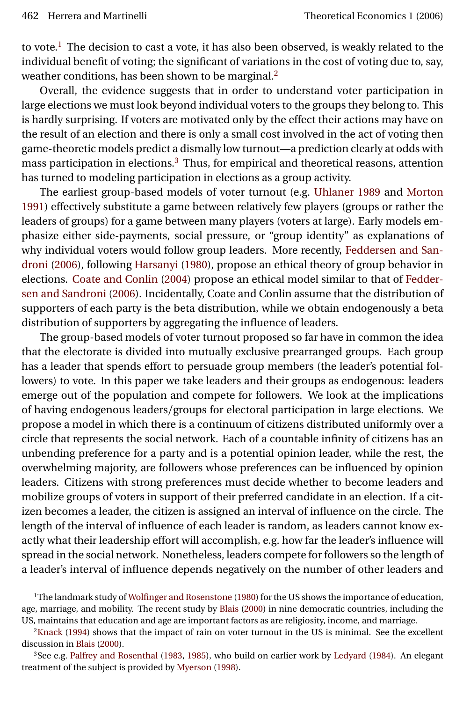<span id="page-1-3"></span>to vote.<sup>[1](#page-1-0)</sup> The decision to cast a vote, it has also been observed, is weakly related to the individual benefit of voting; the significant of variations in the cost of voting due to, say, weather conditions, has been shown to be marginal.<sup>[2](#page-1-1)</sup>

Overall, the evidence suggests that in order to understand voter participation in large elections we must look beyond individual voters to the groups they belong to. This is hardly surprising. If voters are motivated only by the effect their actions may have on the result of an election and there is only a small cost involved in the act of voting then game-theoretic models predict a dismally low turnout—a prediction clearly at odds with mass participation in elections.[3](#page-1-2) Thus, for empirical and theoretical reasons, attention has turned to modeling participation in elections as a group activity.

The earliest group-based models of voter turnout (e.g. [Uhlaner](#page-26-0) [1989](#page-26-0) and [Morton](#page-26-1) [1991\)](#page-26-1) effectively substitute a game between relatively few players (groups or rather the leaders of groups) for a game between many players (voters at large). Early models emphasize either side-payments, social pressure, or "group identity" as explanations of why individual voters would follow group leaders. More recently, [Feddersen and San](#page-25-0)[droni](#page-25-0) [\(2006\)](#page-25-0), following [Harsanyi](#page-25-1) [\(1980\)](#page-25-1), propose an ethical theory of group behavior in elections. [Coate and Conlin](#page-25-2) [\(2004\)](#page-25-2) propose an ethical model similar to that of [Fedder](#page-25-0)[sen and Sandroni](#page-25-0) [\(2006\)](#page-25-0). Incidentally, Coate and Conlin assume that the distribution of supporters of each party is the beta distribution, while we obtain endogenously a beta distribution of supporters by aggregating the influence of leaders.

The group-based models of voter turnout proposed so far have in common the idea that the electorate is divided into mutually exclusive prearranged groups. Each group has a leader that spends effort to persuade group members (the leader's potential followers) to vote. In this paper we take leaders and their groups as endogenous: leaders emerge out of the population and compete for followers. We look at the implications of having endogenous leaders/groups for electoral participation in large elections. We propose a model in which there is a continuum of citizens distributed uniformly over a circle that represents the social network. Each of a countable infinity of citizens has an unbending preference for a party and is a potential opinion leader, while the rest, the overwhelming majority, are followers whose preferences can be influenced by opinion leaders. Citizens with strong preferences must decide whether to become leaders and mobilize groups of voters in support of their preferred candidate in an election. If a citizen becomes a leader, the citizen is assigned an interval of influence on the circle. The length of the interval of influence of each leader is random, as leaders cannot know exactly what their leadership effort will accomplish, e.g. how far the leader's influence will spread in the social network. Nonetheless, leaders compete for followers so the length of a leader's interval of influence depends negatively on the number of other leaders and

<span id="page-1-0"></span><sup>&</sup>lt;sup>1</sup>The landmark study of [Wolfinger and Rosenstone](#page-26-2) [\(1980\)](#page-26-2) for the US shows the importance of education, age, marriage, and mobility. The recent study by [Blais](#page-25-3) [\(2000\)](#page-25-3) in nine democratic countries, including the US, maintains that education and age are important factors as are religiosity, income, and marriage.

<span id="page-1-1"></span> $2$ [Knack](#page-25-4) [\(1994\)](#page-25-4) shows that the impact of rain on voter turnout in the US is minimal. See the excellent discussion in [Blais](#page-25-3) [\(2000\)](#page-25-3).

<span id="page-1-2"></span><sup>3</sup>See e.g. [Palfrey and Rosenthal](#page-26-3) [\(1983,](#page-26-3) [1985\)](#page-26-4), who build on earlier work by [Ledyard](#page-26-5) [\(1984\)](#page-26-5). An elegant treatment of the subject is provided by [Myerson](#page-26-6) [\(1998\)](#page-26-6).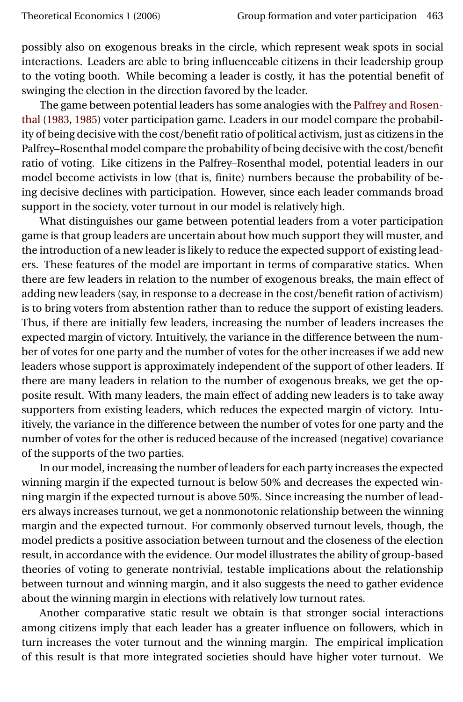<span id="page-2-0"></span>possibly also on exogenous breaks in the circle, which represent weak spots in social interactions. Leaders are able to bring influenceable citizens in their leadership group to the voting booth. While becoming a leader is costly, it has the potential benefit of swinging the election in the direction favored by the leader.

The game between potential leaders has some analogies with the [Palfrey and Rosen](#page-26-3)[thal](#page-26-3) [\(1983,](#page-26-3) [1985\)](#page-26-4) voter participation game. Leaders in our model compare the probability of being decisive with the cost/benefit ratio of political activism, just as citizens in the Palfrey–Rosenthal model compare the probability of being decisive with the cost/benefit ratio of voting. Like citizens in the Palfrey–Rosenthal model, potential leaders in our model become activists in low (that is, finite) numbers because the probability of being decisive declines with participation. However, since each leader commands broad support in the society, voter turnout in our model is relatively high.

What distinguishes our game between potential leaders from a voter participation game is that group leaders are uncertain about how much support they will muster, and the introduction of a new leader is likely to reduce the expected support of existing leaders. These features of the model are important in terms of comparative statics. When there are few leaders in relation to the number of exogenous breaks, the main effect of adding new leaders (say, in response to a decrease in the cost/benefit ration of activism) is to bring voters from abstention rather than to reduce the support of existing leaders. Thus, if there are initially few leaders, increasing the number of leaders increases the expected margin of victory. Intuitively, the variance in the difference between the number of votes for one party and the number of votes for the other increases if we add new leaders whose support is approximately independent of the support of other leaders. If there are many leaders in relation to the number of exogenous breaks, we get the opposite result. With many leaders, the main effect of adding new leaders is to take away supporters from existing leaders, which reduces the expected margin of victory. Intuitively, the variance in the difference between the number of votes for one party and the number of votes for the other is reduced because of the increased (negative) covariance of the supports of the two parties.

In our model, increasing the number of leaders for each party increases the expected winning margin if the expected turnout is below 50% and decreases the expected winning margin if the expected turnout is above 50%. Since increasing the number of leaders always increases turnout, we get a nonmonotonic relationship between the winning margin and the expected turnout. For commonly observed turnout levels, though, the model predicts a positive association between turnout and the closeness of the election result, in accordance with the evidence. Our model illustrates the ability of group-based theories of voting to generate nontrivial, testable implications about the relationship between turnout and winning margin, and it also suggests the need to gather evidence about the winning margin in elections with relatively low turnout rates.

Another comparative static result we obtain is that stronger social interactions among citizens imply that each leader has a greater influence on followers, which in turn increases the voter turnout and the winning margin. The empirical implication of this result is that more integrated societies should have higher voter turnout. We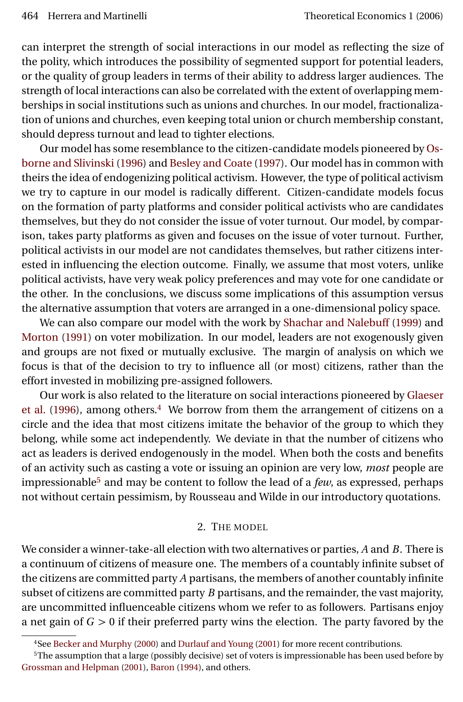<span id="page-3-2"></span>can interpret the strength of social interactions in our model as reflecting the size of the polity, which introduces the possibility of segmented support for potential leaders, or the quality of group leaders in terms of their ability to address larger audiences. The strength of local interactions can also be correlated with the extent of overlapping memberships in social institutions such as unions and churches. In our model, fractionalization of unions and churches, even keeping total union or church membership constant, should depress turnout and lead to tighter elections.

Our model has some resemblance to the citizen-candidate models pioneered by [Os](#page-26-7)[borne and Slivinski](#page-26-7) [\(1996\)](#page-26-7) and [Besley and Coate](#page-25-5) [\(1997\)](#page-25-5). Our model has in common with theirs the idea of endogenizing political activism. However, the type of political activism we try to capture in our model is radically different. Citizen-candidate models focus on the formation of party platforms and consider political activists who are candidates themselves, but they do not consider the issue of voter turnout. Our model, by comparison, takes party platforms as given and focuses on the issue of voter turnout. Further, political activists in our model are not candidates themselves, but rather citizens interested in influencing the election outcome. Finally, we assume that most voters, unlike political activists, have very weak policy preferences and may vote for one candidate or the other. In the conclusions, we discuss some implications of this assumption versus the alternative assumption that voters are arranged in a one-dimensional policy space.

We can also compare our model with the work by [Shachar and Nalebuff](#page-26-8) [\(1999\)](#page-26-8) and [Morton](#page-26-1) [\(1991\)](#page-26-1) on voter mobilization. In our model, leaders are not exogenously given and groups are not fixed or mutually exclusive. The margin of analysis on which we focus is that of the decision to try to influence all (or most) citizens, rather than the effort invested in mobilizing pre-assigned followers.

Our work is also related to the literature on social interactions pioneered by [Glaeser](#page-25-6) [et al.](#page-25-6) [\(1996\)](#page-25-6), among others.<sup>[4](#page-3-0)</sup> We borrow from them the arrangement of citizens on a circle and the idea that most citizens imitate the behavior of the group to which they belong, while some act independently. We deviate in that the number of citizens who act as leaders is derived endogenously in the model. When both the costs and benefits of an activity such as casting a vote or issuing an opinion are very low, *most* people are impressionable[5](#page-3-1) and may be content to follow the lead of a *few*, as expressed, perhaps not without certain pessimism, by Rousseau and Wilde in our introductory quotations.

### 2. THE MODEL

We consider a winner-take-all election with two alternatives or parties, *A* and *B*. There is a continuum of citizens of measure one. The members of a countably infinite subset of the citizens are committed party *A* partisans, the members of another countably infinite subset of citizens are committed party *B* partisans, and the remainder, the vast majority, are uncommitted influenceable citizens whom we refer to as followers. Partisans enjoy a net gain of *G >* 0 if their preferred party wins the election. The party favored by the

<span id="page-3-1"></span><span id="page-3-0"></span><sup>4</sup>See [Becker and Murphy](#page-25-7) [\(2000\)](#page-25-7) and [Durlauf and Young](#page-25-8) [\(2001\)](#page-25-8) for more recent contributions.

<sup>5</sup>The assumption that a large (possibly decisive) set of voters is impressionable has been used before by [Grossman and Helpman](#page-25-9) [\(2001\)](#page-25-9), [Baron](#page-25-10) [\(1994\)](#page-25-10), and others.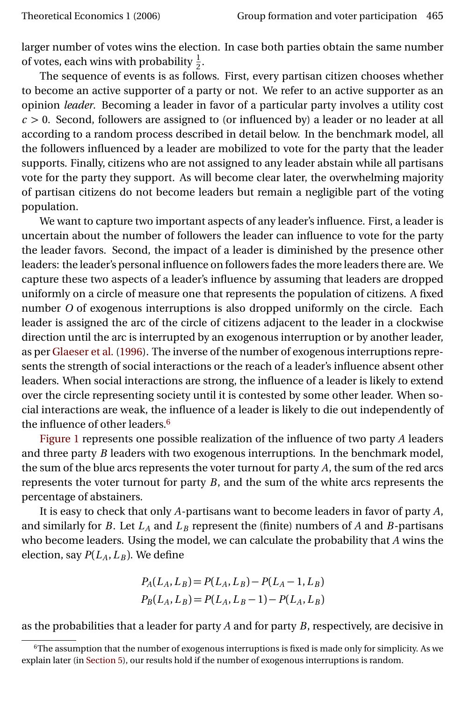<span id="page-4-1"></span>larger number of votes wins the election. In case both parties obtain the same number of votes, each wins with probability  $\frac{1}{2}$ .

Eves, each this that producinty  $\frac{1}{2}$ .<br>The sequence of events is as follows. First, every partisan citizen chooses whether to become an active supporter of a party or not. We refer to an active supporter as an opinion *leader*. Becoming a leader in favor of a particular party involves a utility cost *c >* 0. Second, followers are assigned to (or influenced by) a leader or no leader at all according to a random process described in detail below. In the benchmark model, all the followers influenced by a leader are mobilized to vote for the party that the leader supports. Finally, citizens who are not assigned to any leader abstain while all partisans vote for the party they support. As will become clear later, the overwhelming majority of partisan citizens do not become leaders but remain a negligible part of the voting population.

We want to capture two important aspects of any leader's influence. First, a leader is uncertain about the number of followers the leader can influence to vote for the party the leader favors. Second, the impact of a leader is diminished by the presence other leaders: the leader's personal influence on followers fades the more leaders there are. We capture these two aspects of a leader's influence by assuming that leaders are dropped uniformly on a circle of measure one that represents the population of citizens. A fixed number *O* of exogenous interruptions is also dropped uniformly on the circle. Each leader is assigned the arc of the circle of citizens adjacent to the leader in a clockwise direction until the arc is interrupted by an exogenous interruption or by another leader, as per [Glaeser et al.](#page-25-6) [\(1996\)](#page-25-6). The inverse of the number of exogenous interruptions represents the strength of social interactions or the reach of a leader's influence absent other leaders. When social interactions are strong, the influence of a leader is likely to extend over the circle representing society until it is contested by some other leader. When social interactions are weak, the influence of a leader is likely to die out independently of the influence of other leaders.<sup>[6](#page-4-0)</sup>

[Figure 1](#page-5-0) represents one possible realization of the influence of two party *A* leaders and three party *B* leaders with two exogenous interruptions. In the benchmark model, the sum of the blue arcs represents the voter turnout for party *A*, the sum of the red arcs represents the voter turnout for party *B*, and the sum of the white arcs represents the percentage of abstainers.

It is easy to check that only *A*-partisans want to become leaders in favor of party *A*, and similarly for *B*. Let  $L_A$  and  $L_B$  represent the (finite) numbers of *A* and *B*-partisans who become leaders. Using the model, we can calculate the probability that *A* wins the election, say  $P(L_A, L_B)$ . We define

$$
P_A(L_A, L_B) = P(L_A, L_B) - P(L_A - 1, L_B)
$$
  

$$
P_B(L_A, L_B) = P(L_A, L_B - 1) - P(L_A, L_B)
$$

as the probabilities that a leader for party *A* and for party *B*, respectively, are decisive in

<span id="page-4-0"></span> $6$ The assumption that the number of exogenous interruptions is fixed is made only for simplicity. As we explain later (in [Section 5\)](#page-13-0), our results hold if the number of exogenous interruptions is random.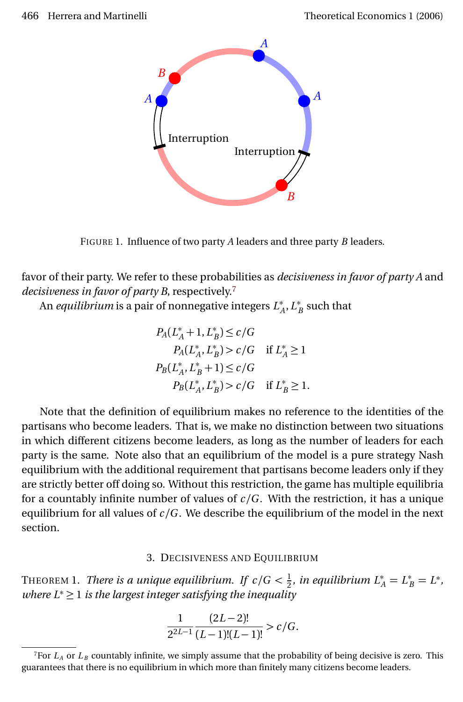<span id="page-5-0"></span>

FIGURE 1. Influence of two party *A* leaders and three party *B* leaders.

favor of their party. We refer to these probabilities as *decisiveness in favor of party A* and *decisiveness in favor of party B*, respectively.[7](#page-5-1)

An *equilibrium* is a pair of nonnegative integers *L* ∗ *A* ,*L* ∗  $_B^*$  such that

$$
P_A(L_A^* + 1, L_B^*) \le c/G
$$
  
\n
$$
P_A(L_A^*, L_B^*) > c/G \quad \text{if } L_A^* \ge 1
$$
  
\n
$$
P_B(L_A^*, L_B^* + 1) \le c/G
$$
  
\n
$$
P_B(L_A^*, L_B^*) > c/G \quad \text{if } L_B^* \ge 1.
$$

Note that the definition of equilibrium makes no reference to the identities of the partisans who become leaders. That is, we make no distinction between two situations in which different citizens become leaders, as long as the number of leaders for each party is the same. Note also that an equilibrium of the model is a pure strategy Nash equilibrium with the additional requirement that partisans become leaders only if they are strictly better off doing so. Without this restriction, the game has multiple equilibria for a countably infinite number of values of  $c/G$ . With the restriction, it has a unique equilibrium for all values of  $c/G$ . We describe the equilibrium of the model in the next section.

### 3. DECISIVENESS AND EQUILIBRIUM

<span id="page-5-2"></span>THEOREM 1. *There is a unique equilibrium. If*  $c/G < \frac{1}{2}$  $\frac{1}{2}$ *, in equilibrium*  $L_A^* = L_B^* = L^*$ *, where L*<sup>∗</sup> ≥ 1 *is the largest integer satisfying the inequality*

$$
\frac{1}{2^{2L-1}}\frac{(2L-2)!}{(L-1)!(L-1)!} > c/G.
$$

<span id="page-5-1"></span><sup>&</sup>lt;sup>7</sup>For  $L_A$  or  $L_B$  countably infinite, we simply assume that the probability of being decisive is zero. This guarantees that there is no equilibrium in which more than finitely many citizens become leaders.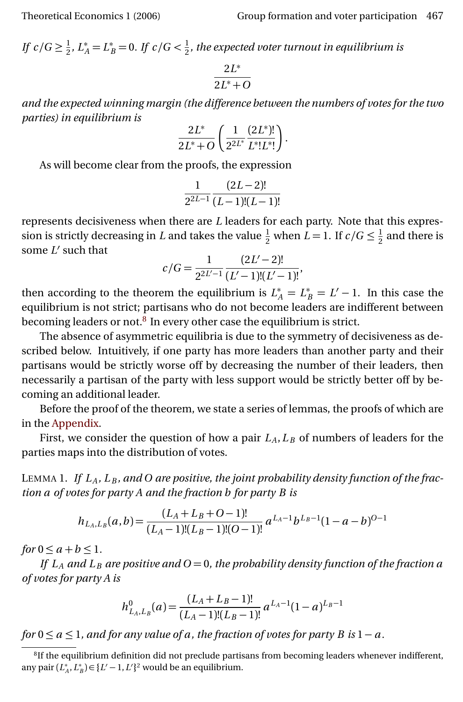*If*  $c/G \geq \frac{1}{2}$  $\frac{1}{2}$ ,  $L_A^* = L_B^* = 0$ . If  $c/G < \frac{1}{2}$ 2 *, the expected voter turnout in equilibrium is*

$$
\frac{2L^*}{2L^*+O}
$$

*and the expected winning margin (the difference between the numbers of votes for the two parties) in equilibrium is*

$$
\frac{2L^*}{2L^*+O}\left(\frac{1}{2^{2L^*}}\frac{(2L^*)!}{L^*!L^*!}\right).
$$

As will become clear from the proofs, the expression

$$
\frac{1}{2^{2L-1}}\frac{(2L-2)!}{(L-1)!(L-1)!}
$$

represents decisiveness when there are *L* leaders for each party. Note that this expression is strictly decreasing in *L* and takes the value  $\frac{1}{2}$  when  $L = 1$ . If  $c/G \leq \frac{1}{2}$  $\frac{1}{2}$  and there is some L' such that

$$
c/G = \frac{1}{2^{2L'-1}} \frac{(2L'-2)!}{(L'-1)!(L'-1)!},
$$

then according to the theorem the equilibrium is  $L_A^* = L_B^* = L' - 1$ . In this case the equilibrium is not strict; partisans who do not become leaders are indifferent between becoming leaders or not.<sup>[8](#page-6-0)</sup> In every other case the equilibrium is strict.

The absence of asymmetric equilibria is due to the symmetry of decisiveness as described below. Intuitively, if one party has more leaders than another party and their partisans would be strictly worse off by decreasing the number of their leaders, then necessarily a partisan of the party with less support would be strictly better off by becoming an additional leader.

Before the proof of the theorem, we state a series of lemmas, the proofs of which are in the [Appendix.](#page-16-0)

First, we consider the question of how a pair  $L_A$ ,  $L_B$  of numbers of leaders for the parties maps into the distribution of votes.

<span id="page-6-1"></span>LEMMA 1. If  $L_A$ ,  $L_B$ , and O are positive, the joint probability density function of the frac*tion a of votes for party A and the fraction b for party B is*

$$
h_{L_A,L_B}(a,b) = \frac{(L_A + L_B + O - 1)!}{(L_A - 1)!(L_B - 1)!(O - 1)!} a^{L_A - 1} b^{L_B - 1} (1 - a - b)^{O - 1}
$$

*for*  $0 \le a + b \le 1$ *.* 

*If*  $L_A$  *and*  $L_B$  *are positive and*  $O = 0$ *, the probability density function of the fraction a of votes for party A is*

$$
h^0_{L_A,L_B}(a) = \frac{(L_A + L_B - 1)!}{(L_A - 1)!(L_B - 1)!} a^{L_A - 1} (1 - a)^{L_B - 1}
$$

*for*  $0 \le a \le 1$ *, and for any value of a, the fraction of votes for party B is*  $1 - a$ *.* 

<span id="page-6-0"></span><sup>&</sup>lt;sup>8</sup>If the equilibrium definition did not preclude partisans from becoming leaders whenever indifferent, any pair  $(L_A^*, L_B^*) \in \{L' - 1, L'\}^2$  would be an equilibrium.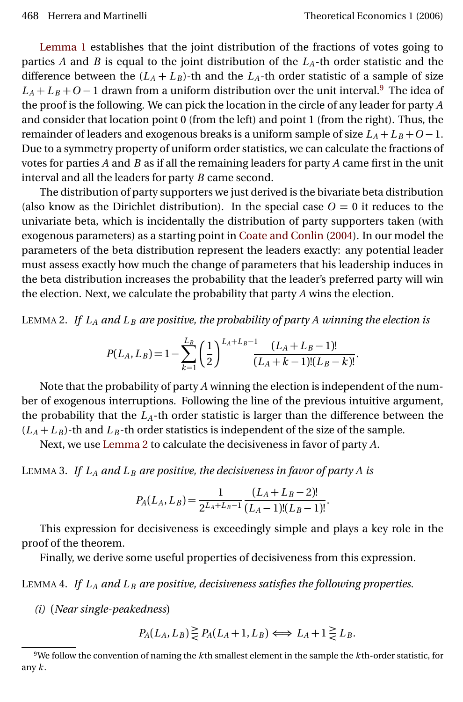<span id="page-7-4"></span>[Lemma 1](#page-6-1) establishes that the joint distribution of the fractions of votes going to parties *A* and *B* is equal to the joint distribution of the *LA*-th order statistic and the difference between the  $(L_A + L_B)$ -th and the  $L_A$ -th order statistic of a sample of size  $L_A + L_B + O - 1$  drawn from a uniform distribution over the unit interval.<sup>[9](#page-7-0)</sup> The idea of the proof is the following. We can pick the location in the circle of any leader for party *A* and consider that location point 0 (from the left) and point 1 (from the right). Thus, the remainder of leaders and exogenous breaks is a uniform sample of size  $L_A + L_B + O - 1$ . Due to a symmetry property of uniform order statistics, we can calculate the fractions of votes for parties *A* and *B* as if all the remaining leaders for party *A* came first in the unit interval and all the leaders for party *B* came second.

The distribution of party supporters we just derived is the bivariate beta distribution (also know as the Dirichlet distribution). In the special case  $O = 0$  it reduces to the univariate beta, which is incidentally the distribution of party supporters taken (with exogenous parameters) as a starting point in [Coate and Conlin](#page-25-2) [\(2004\)](#page-25-2). In our model the parameters of the beta distribution represent the leaders exactly: any potential leader must assess exactly how much the change of parameters that his leadership induces in the beta distribution increases the probability that the leader's preferred party will win the election. Next, we calculate the probability that party *A* wins the election.

<span id="page-7-1"></span>LEMMA 2. If  $L_A$  and  $L_B$  are positive, the probability of party A winning the election is

$$
P(L_A, L_B) = 1 - \sum_{k=1}^{L_B} \left(\frac{1}{2}\right)^{L_A + L_B - 1} \frac{(L_A + L_B - 1)!}{(L_A + k - 1)!(L_B - k)!}.
$$

Note that the probability of party *A* winning the election is independent of the number of exogenous interruptions. Following the line of the previous intuitive argument, the probability that the  $L_A$ -th order statistic is larger than the difference between the  $(L_A + L_B)$ -th and  $L_B$ -th order statistics is independent of the size of the sample.

Next, we use [Lemma 2](#page-7-1) to calculate the decisiveness in favor of party *A*.

<span id="page-7-3"></span>LEMMA 3. If  $L_A$  and  $L_B$  are positive, the decisiveness in favor of party A is

$$
P_A(L_A, L_B) = \frac{1}{2^{L_A + L_B - 1}} \frac{(L_A + L_B - 2)!}{(L_A - 1)!(L_B - 1)!}.
$$

This expression for decisiveness is exceedingly simple and plays a key role in the proof of the theorem.

Finally, we derive some useful properties of decisiveness from this expression.

<span id="page-7-2"></span>LEMMA 4. *If L<sup>A</sup> and L <sup>B</sup> are positive, decisiveness satisfies the following properties.*

*(i)* (*Near single-peakedness*)

$$
P_A(L_A, L_B) \ge P_A(L_A + 1, L_B) \iff L_A + 1 \ge L_B.
$$

<span id="page-7-0"></span><sup>9</sup>We follow the convention of naming the *k* th smallest element in the sample the *k* th-order statistic, for any *k* .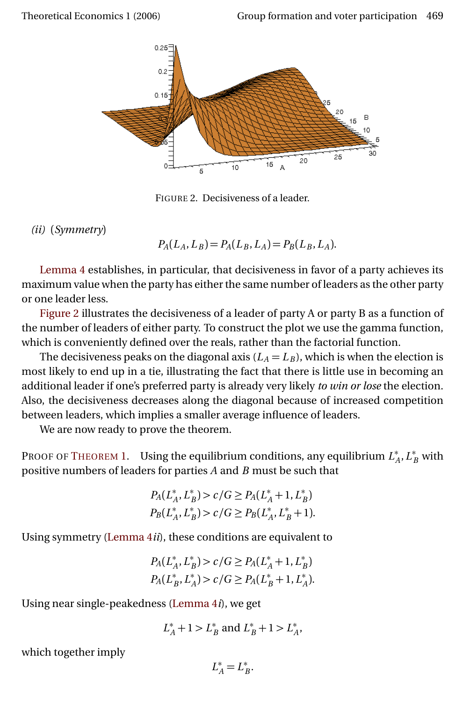<span id="page-8-0"></span>

FIGURE 2. Decisiveness of a leader.

*(ii)* (*Symmetry*)

 $P_A(L_A, L_B) = P_A(L_B, L_A) = P_B(L_B, L_A)$ .

[Lemma 4](#page-7-2) establishes, in particular, that decisiveness in favor of a party achieves its maximum value when the party has either the same number of leaders as the other party or one leader less.

[Figure 2](#page-8-0) illustrates the decisiveness of a leader of party A or party B as a function of the number of leaders of either party. To construct the plot we use the gamma function, which is conveniently defined over the reals, rather than the factorial function.

The decisiveness peaks on the diagonal axis  $(L_A = L_B)$ , which is when the election is most likely to end up in a tie, illustrating the fact that there is little use in becoming an additional leader if one's preferred party is already very likely *to win or lose* the election. Also, the decisiveness decreases along the diagonal because of increased competition between leaders, which implies a smaller average influence of leaders.

We are now ready to prove the theorem.

PROOF OF T[HEOREM](#page-5-2) 1. Using the equilibrium conditions, any equilibrium *L* ∗  $A^*$ ,  $L^*_B$  with positive numbers of leaders for parties *A* and *B* must be such that

$$
P_A(L_A^*, L_B^*) > c/G \ge P_A(L_A^* + 1, L_B^*)
$$
  
\n
$$
P_B(L_A^*, L_B^*) > c/G \ge P_B(L_A^*, L_B^* + 1).
$$

Using symmetry [\(Lemma 4](#page-7-2)*ii*), these conditions are equivalent to

$$
P_A(L_A^*, L_B^*) > c/G \ge P_A(L_A^* + 1, L_B^*)
$$
  

$$
P_A(L_B^*, L_A^*) > c/G \ge P_A(L_B^* + 1, L_A^*).
$$

Using near single-peakedness [\(Lemma 4](#page-7-2)*i*), we get

$$
L_A^* + 1 > L_B^*
$$
 and  $L_B^* + 1 > L_A^*$ ,

which together imply

$$
L_A^* = L_B^*.
$$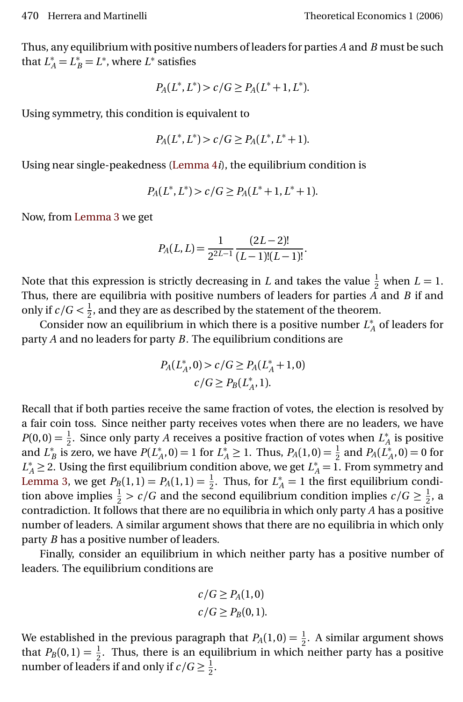Thus, any equilibrium with positive numbers of leaders for parties *A* and *B* must be such that  $L_A^* = L_B^* = L^*$ , where  $L^*$  satisfies

$$
P_A(L^*, L^*) > c/G \ge P_A(L^* + 1, L^*).
$$

Using symmetry, this condition is equivalent to

$$
P_A(L^*, L^*) > c/G \ge P_A(L^*, L^* + 1).
$$

Using near single-peakedness [\(Lemma 4](#page-7-2)*i*), the equilibrium condition is

$$
P_A(L^*, L^*) > c/G \ge P_A(L^*+1, L^*+1).
$$

Now, from [Lemma 3](#page-7-3) we get

$$
P_A(L,L) = \frac{1}{2^{2L-1}} \frac{(2L-2)!}{(L-1)!(L-1)!}.
$$

Note that this expression is strictly decreasing in *L* and takes the value  $\frac{1}{2}$  when  $L = 1$ . Thus, there are equilibria with positive numbers of leaders for parties *A* and *B* if and only if  $c/G < \frac{1}{2}$  $\frac{1}{2}$ , and they are as described by the statement of the theorem.

Consider now an equilibrium in which there is a positive number *L* ∗  $_A^*$  of leaders for party *A* and no leaders for party *B*. The equilibrium conditions are

$$
P_A(L_A^*, 0) > c / G \ge P_A(L_A^* + 1, 0)
$$
\n
$$
c / G \ge P_B(L_A^*, 1).
$$

Recall that if both parties receive the same fraction of votes, the election is resolved by a fair coin toss. Since neither party receives votes when there are no leaders, we have  $P(0,0) = \frac{1}{2}$ . Since only party *A* receives a positive fraction of votes when  $L^*$  $_A^*$  is positive and *L* ∗  $\sum_{B}^{*}$  is zero, we have  $P(L_{\n}^{*})$  $A^*_{A}$ , 0) = 1 for  $L^*_{A} \ge 1$ . Thus,  $P_A(1,0) = \frac{1}{2}$  and  $P_A(L^*_{A})$  $_{A}^{*}$ , 0) = 0 for  $L_A^* \geq 2$ . Using the first equilibrium condition above, we get  $L_A^* = 1$ . From symmetry and [Lemma 3,](#page-7-3) we get  $P_B(1,1) = P_A(1,1) = \frac{1}{2}$ . Thus, for  $L_A^* = 1$  the first equilibrium condition above implies  $\frac{1}{2}$  > *c*/*G* and the second equilibrium condition implies *c*/*G*  $\geq \frac{1}{2}$  $\frac{1}{2}$ , a contradiction. It follows that there are no equilibria in which only party *A* has a positive number of leaders. A similar argument shows that there are no equilibria in which only party *B* has a positive number of leaders.

Finally, consider an equilibrium in which neither party has a positive number of leaders. The equilibrium conditions are

$$
c/G \ge P_A(1,0)
$$
  

$$
c/G \ge P_B(0,1).
$$

We established in the previous paragraph that  $P_A(1,0) = \frac{1}{2}$ . A similar argument shows that  $P_B(0,1) = \frac{1}{2}$ . Thus, there is an equilibrium in which neither party has a positive number of leaders if and only if  $c/G \geq \frac{1}{2}$  $\frac{1}{2}$ .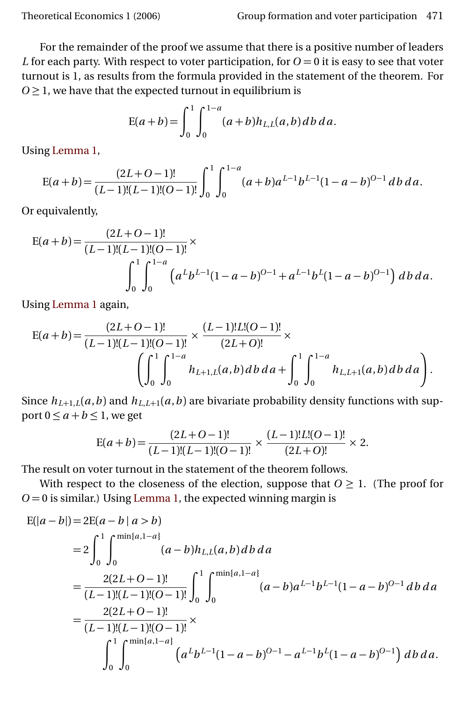For the remainder of the proof we assume that there is a positive number of leaders *L* for each party. With respect to voter participation, for  $O = 0$  it is easy to see that voter turnout is 1, as results from the formula provided in the statement of the theorem. For  $O \geq 1$ , we have that the expected turnout in equilibrium is

$$
E(a+b) = \int_0^1 \int_0^{1-a} (a+b)h_{L,L}(a,b) db da.
$$

Using [Lemma 1,](#page-6-1)

$$
E(a+b) = \frac{(2L+O-1)!}{(L-1)!(L-1)!(O-1)!} \int_0^1 \int_0^{1-a} (a+b)a^{L-1}b^{L-1}(1-a-b)^{O-1} db da.
$$

Or equivalently,

$$
E(a+b) = \frac{(2L+O-1)!}{(L-1)!(L-1)!(O-1)!} \times \int_0^1 \int_0^{1-a} \left( a^L b^{L-1} (1-a-b)^{O-1} + a^{L-1} b^L (1-a-b)^{O-1} \right) db \, da.
$$

Using [Lemma 1](#page-6-1) again,

$$
E(a+b) = \frac{(2L+O-1)!}{(L-1)!(L-1)!(O-1)!} \times \frac{(L-1)!L!(O-1)!}{(2L+O)!} \times \left( \int_0^1 \int_0^{1-a} h_{L+1,L}(a,b) \, db \, da + \int_0^1 \int_0^{1-a} h_{L,L+1}(a,b) \, db \, da \right).
$$

Since  $h_{L+1,L}(a,b)$  and  $h_{L,L+1}(a,b)$  are bivariate probability density functions with support  $0 \le a + b \le 1$ , we get

$$
E(a+b) = \frac{(2L+O-1)!}{(L-1)!(L-1)!(O-1)!} \times \frac{(L-1)!L!(O-1)!}{(2L+O)!} \times 2.
$$

The result on voter turnout in the statement of the theorem follows.

With respect to the closeness of the election, suppose that  $0 \geq 1$ . (The proof for  $O = 0$  is similar.) Using [Lemma 1,](#page-6-1) the expected winning margin is

$$
E(|a-b|) = 2E(a-b|a>b)
$$
  
=  $2\int_0^1 \int_0^{\min\{a,1-a\}} (a-b)h_{L,L}(a,b)db da$   
=  $\frac{2(2L+O-1)!}{(L-1)!(L-1)!(O-1)!} \int_0^1 \int_0^{\min\{a,1-a\}} (a-b)a^{L-1}b^{L-1}(1-a-b)^{O-1} db da$   
=  $\frac{2(2L+O-1)!}{(L-1)!(L-1)!(O-1)!} \times \int_0^1 \int_0^{\min\{a,1-a\}} (a^Lb^{L-1}(1-a-b)^{O-1} - a^{L-1}b^L(1-a-b)^{O-1}) db da.$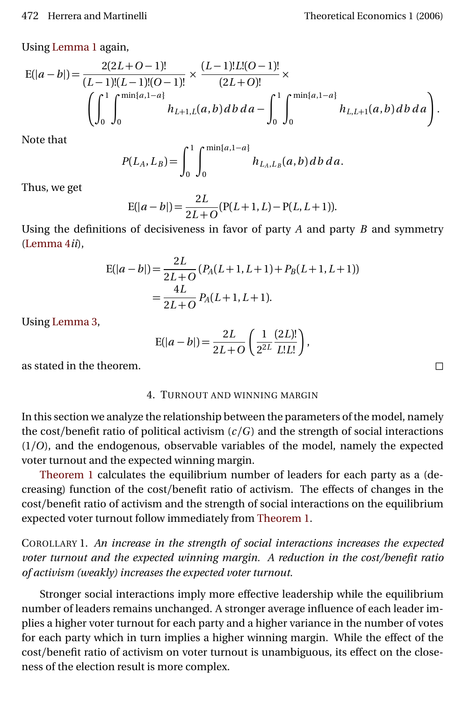Using [Lemma 1](#page-6-1) again,

$$
E(|a-b|) = \frac{2(2L+O-1)!}{(L-1)!(L-1)!(O-1)!} \times \frac{(L-1)!L!(O-1)!}{(2L+O)!} \times \left(\int_0^1 \int_0^{\min\{a,1-a\}} h_{L+1,L}(a,b) \, db \, da - \int_0^1 \int_0^{\min\{a,1-a\}} h_{L,L+1}(a,b) \, db \, da\right).
$$

Note that

$$
P(L_A, L_B) = \int_0^1 \int_0^{\min\{a, 1-a\}} h_{L_A, L_B}(a, b) \, db \, da.
$$

Thus, we get

$$
E(|a-b|) = \frac{2L}{2L+O}(P(L+1,L) - P(L,L+1)).
$$

Using the definitions of decisiveness in favor of party *A* and party *B* and symmetry [\(Lemma 4](#page-7-2)*ii*),

$$
E(|a - b|) = \frac{2L}{2L + O}(P_A(L + 1, L + 1) + P_B(L + 1, L + 1))
$$
  
= 
$$
\frac{4L}{2L + O}P_A(L + 1, L + 1).
$$

Using [Lemma 3,](#page-7-3)

$$
E(|a-b|) = \frac{2L}{2L+O}\left(\frac{1}{2^{2L}}\frac{(2L)!}{L!L!}\right),\,
$$

as stated in the theorem.

#### 4. TURNOUT AND WINNING MARGIN

In this section we analyze the relationship between the parameters of the model, namely the cost/benefit ratio of political activism  $(c/G)$  and the strength of social interactions (1*/O*), and the endogenous, observable variables of the model, namely the expected voter turnout and the expected winning margin.

[Theorem 1](#page-5-2) calculates the equilibrium number of leaders for each party as a (decreasing) function of the cost/benefit ratio of activism. The effects of changes in the cost/benefit ratio of activism and the strength of social interactions on the equilibrium expected voter turnout follow immediately from [Theorem 1.](#page-5-2)

COROLLARY 1. *An increase in the strength of social interactions increases the expected voter turnout and the expected winning margin. A reduction in the cost/benefit ratio of activism (weakly) increases the expected voter turnout.*

Stronger social interactions imply more effective leadership while the equilibrium number of leaders remains unchanged. A stronger average influence of each leader implies a higher voter turnout for each party and a higher variance in the number of votes for each party which in turn implies a higher winning margin. While the effect of the cost/benefit ratio of activism on voter turnout is unambiguous, its effect on the closeness of the election result is more complex.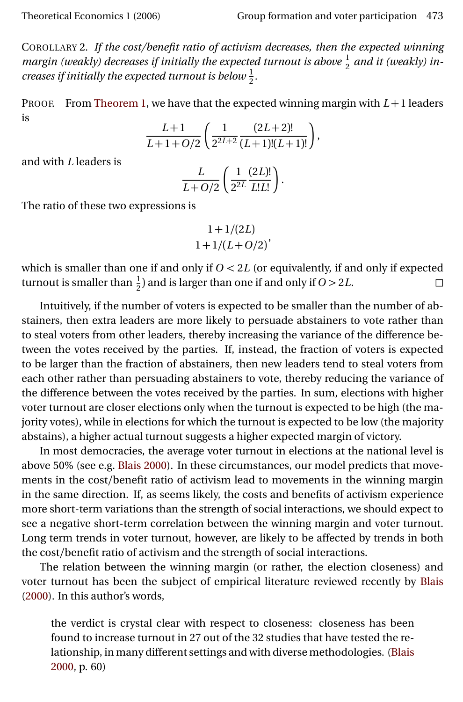<span id="page-12-0"></span>COROLLARY 2. *If the cost/benefit ratio of activism decreases, then the expected winning margin (weakly) decreases if initially the expected turnout is above*  $\frac{1}{2}$  *and it (weakly) increases if initially the expected turnout is below*  $\frac{1}{2}$ *.* 

PROOF. From [Theorem 1,](#page-5-2) we have that the expected winning margin with *L* +1 leaders is

$$
\frac{L+1}{L+1+O/2}\left(\frac{1}{2^{2L+2}}\frac{(2L+2)!}{(L+1)!(L+1)!}\right),\,
$$

and with *L* leaders is

$$
\frac{L}{L+O/2}\left(\frac{1}{2^{2L}}\frac{(2L)!}{L!L!}\right).
$$

The ratio of these two expressions is

$$
\frac{1+1/(2L)}{1+1/(L+O/2)},
$$

which is smaller than one if and only if  $O < 2L$  (or equivalently, if and only if expected turnout is smaller than  $\frac{1}{2}$ ) and is larger than one if and only if *O* > 2*L*.

Intuitively, if the number of voters is expected to be smaller than the number of abstainers, then extra leaders are more likely to persuade abstainers to vote rather than to steal voters from other leaders, thereby increasing the variance of the difference between the votes received by the parties. If, instead, the fraction of voters is expected to be larger than the fraction of abstainers, then new leaders tend to steal voters from each other rather than persuading abstainers to vote, thereby reducing the variance of the difference between the votes received by the parties. In sum, elections with higher voter turnout are closer elections only when the turnout is expected to be high (the majority votes), while in elections for which the turnout is expected to be low (the majority abstains), a higher actual turnout suggests a higher expected margin of victory.

In most democracies, the average voter turnout in elections at the national level is above 50% (see e.g. [Blais](#page-25-3) [2000\)](#page-25-3). In these circumstances, our model predicts that movements in the cost/benefit ratio of activism lead to movements in the winning margin in the same direction. If, as seems likely, the costs and benefits of activism experience more short-term variations than the strength of social interactions, we should expect to see a negative short-term correlation between the winning margin and voter turnout. Long term trends in voter turnout, however, are likely to be affected by trends in both the cost/benefit ratio of activism and the strength of social interactions.

The relation between the winning margin (or rather, the election closeness) and voter turnout has been the subject of empirical literature reviewed recently by [Blais](#page-25-3) [\(2000\)](#page-25-3). In this author's words,

the verdict is crystal clear with respect to closeness: closeness has been found to increase turnout in 27 out of the 32 studies that have tested the relationship, in many different settings and with diverse methodologies. [\(Blais](#page-25-3) [2000,](#page-25-3) p. 60)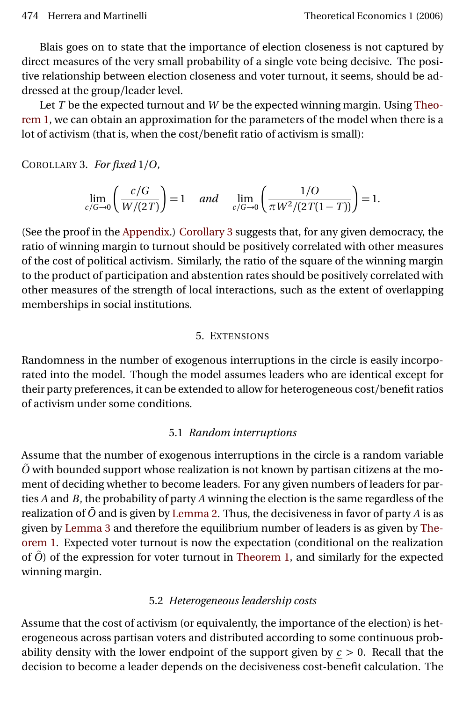Blais goes on to state that the importance of election closeness is not captured by direct measures of the very small probability of a single vote being decisive. The positive relationship between election closeness and voter turnout, it seems, should be addressed at the group/leader level.

Let *T* be the expected turnout and *W* be the expected winning margin. Using [Theo](#page-5-2)[rem 1,](#page-5-2) we can obtain an approximation for the parameters of the model when there is a lot of activism (that is, when the cost/benefit ratio of activism is small):

<span id="page-13-1"></span>COROLLARY 3. *For fixed* 1*/O,*

$$
\lim_{c/G \to 0} \left( \frac{c/G}{W/(2T)} \right) = 1 \quad \text{and} \quad \lim_{c/G \to 0} \left( \frac{1/O}{\pi W^2/(2T(1-T))} \right) = 1.
$$

(See the proof in the [Appendix.](#page-16-0)) [Corollary 3](#page-13-1) suggests that, for any given democracy, the ratio of winning margin to turnout should be positively correlated with other measures of the cost of political activism. Similarly, the ratio of the square of the winning margin to the product of participation and abstention rates should be positively correlated with other measures of the strength of local interactions, such as the extent of overlapping memberships in social institutions.

## 5. EXTENSIONS

<span id="page-13-0"></span>Randomness in the number of exogenous interruptions in the circle is easily incorporated into the model. Though the model assumes leaders who are identical except for their party preferences, it can be extended to allow for heterogeneous cost/benefit ratios of activism under some conditions.

# 5.1 *Random interruptions*

Assume that the number of exogenous interruptions in the circle is a random variable  $\tilde{O}$  with bounded support whose realization is not known by partisan citizens at the moment of deciding whether to become leaders. For any given numbers of leaders for parties *A* and *B*, the probability of party *A* winning the election is the same regardless of the realization of *O*˜ and is given by [Lemma 2.](#page-7-1) Thus, the decisiveness in favor of party *A* is as given by [Lemma 3](#page-7-3) and therefore the equilibrium number of leaders is as given by [The](#page-5-2)[orem 1.](#page-5-2) Expected voter turnout is now the expectation (conditional on the realization of  $\tilde{O}$  ) of the expression for voter turnout in [Theorem 1,](#page-5-2) and similarly for the expected winning margin.

# 5.2 *Heterogeneous leadership costs*

Assume that the cost of activism (or equivalently, the importance of the election) is heterogeneous across partisan voters and distributed according to some continuous probability density with the lower endpoint of the support given by *c >* 0. Recall that the decision to become a leader depends on the decisiveness cost-benefit calculation. The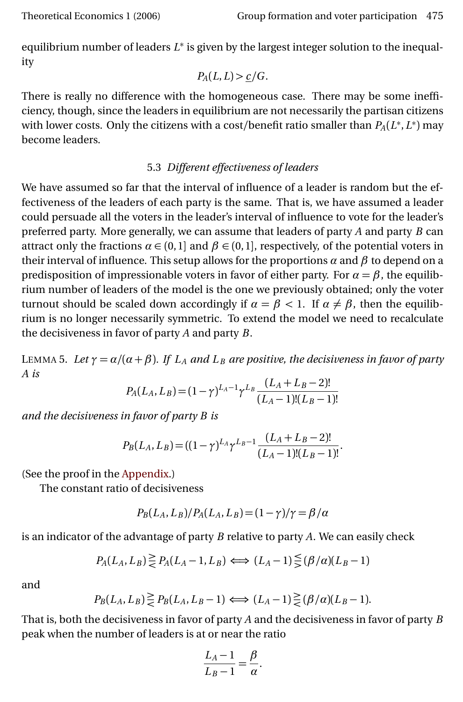equilibrium number of leaders  $L^*$  is given by the largest integer solution to the inequality

$$
P_A(L,L) > \underline{c}/G.
$$

There is really no difference with the homogeneous case. There may be some inefficiency, though, since the leaders in equilibrium are not necessarily the partisan citizens with lower costs. Only the citizens with a cost/benefit ratio smaller than  $P_A(L^*, L^*)$  may become leaders.

## 5.3 *Different effectiveness of leaders*

We have assumed so far that the interval of influence of a leader is random but the effectiveness of the leaders of each party is the same. That is, we have assumed a leader could persuade all the voters in the leader's interval of influence to vote for the leader's preferred party. More generally, we can assume that leaders of party *A* and party *B* can attract only the fractions  $\alpha \in (0,1]$  and  $\beta \in (0,1]$ , respectively, of the potential voters in their interval of influence. This setup allows for the proportions *α* and *β* to depend on a predisposition of impressionable voters in favor of either party. For  $\alpha = \beta$ , the equilibrium number of leaders of the model is the one we previously obtained; only the voter turnout should be scaled down accordingly if  $\alpha = \beta < 1$ . If  $\alpha \neq \beta$ , then the equilibrium is no longer necessarily symmetric. To extend the model we need to recalculate the decisiveness in favor of party *A* and party *B*.

<span id="page-14-0"></span>LEMMA 5. Let  $\gamma = \alpha/(\alpha + \beta)$ . If  $L_A$  and  $L_B$  are positive, the decisiveness in favor of party *A is*

$$
P_A(L_A, L_B) = (1 - \gamma)^{L_A - 1} \gamma^{L_B} \frac{(L_A + L_B - 2)!}{(L_A - 1)!(L_B - 1)!}
$$

*and the decisiveness in favor of party B is*

$$
P_B(L_A, L_B) = ((1 - \gamma)^{L_A} \gamma^{L_B - 1} \frac{(L_A + L_B - 2)!}{(L_A - 1)!(L_B - 1)!}.
$$

(See the proof in the [Appendix.](#page-16-0))

The constant ratio of decisiveness

$$
P_B(L_A, L_B)/P_A(L_A, L_B) = (1 - \gamma)/\gamma = \beta/\alpha
$$

is an indicator of the advantage of party *B* relative to party *A*. We can easily check

$$
P_A(L_A, L_B) \ge P_A(L_A - 1, L_B) \iff (L_A - 1) \leq (\beta/\alpha)(L_B - 1)
$$

and

$$
P_B(L_A, L_B) \ge P_B(L_A, L_B - 1) \Longleftrightarrow (L_A - 1) \ge \frac{\beta}{\le \beta/\alpha} (L_B - 1).
$$

That is, both the decisiveness in favor of party *A* and the decisiveness in favor of party *B* peak when the number of leaders is at or near the ratio

$$
\frac{L_A - 1}{L_B - 1} = \frac{\beta}{\alpha}.
$$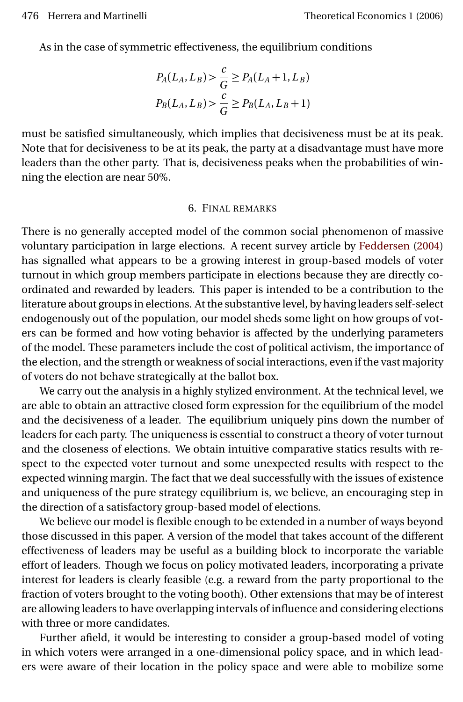<span id="page-15-0"></span>As in the case of symmetric effectiveness, the equilibrium conditions

$$
P_A(L_A, L_B) > \frac{c}{G} \ge P_A(L_A + 1, L_B)
$$
  

$$
P_B(L_A, L_B) > \frac{c}{G} \ge P_B(L_A, L_B + 1)
$$

must be satisfied simultaneously, which implies that decisiveness must be at its peak. Note that for decisiveness to be at its peak, the party at a disadvantage must have more leaders than the other party. That is, decisiveness peaks when the probabilities of winning the election are near 50%.

#### 6. FINAL REMARKS

There is no generally accepted model of the common social phenomenon of massive voluntary participation in large elections. A recent survey article by [Feddersen](#page-25-11) [\(2004\)](#page-25-11) has signalled what appears to be a growing interest in group-based models of voter turnout in which group members participate in elections because they are directly coordinated and rewarded by leaders. This paper is intended to be a contribution to the literature about groups in elections. At the substantive level, by having leaders self-select endogenously out of the population, our model sheds some light on how groups of voters can be formed and how voting behavior is affected by the underlying parameters of the model. These parameters include the cost of political activism, the importance of the election, and the strength or weakness of social interactions, even if the vast majority of voters do not behave strategically at the ballot box.

We carry out the analysis in a highly stylized environment. At the technical level, we are able to obtain an attractive closed form expression for the equilibrium of the model and the decisiveness of a leader. The equilibrium uniquely pins down the number of leaders for each party. The uniqueness is essential to construct a theory of voter turnout and the closeness of elections. We obtain intuitive comparative statics results with respect to the expected voter turnout and some unexpected results with respect to the expected winning margin. The fact that we deal successfully with the issues of existence and uniqueness of the pure strategy equilibrium is, we believe, an encouraging step in the direction of a satisfactory group-based model of elections.

We believe our model is flexible enough to be extended in a number of ways beyond those discussed in this paper. A version of the model that takes account of the different effectiveness of leaders may be useful as a building block to incorporate the variable effort of leaders. Though we focus on policy motivated leaders, incorporating a private interest for leaders is clearly feasible (e.g. a reward from the party proportional to the fraction of voters brought to the voting booth). Other extensions that may be of interest are allowing leaders to have overlapping intervals of influence and considering elections with three or more candidates.

Further afield, it would be interesting to consider a group-based model of voting in which voters were arranged in a one-dimensional policy space, and in which leaders were aware of their location in the policy space and were able to mobilize some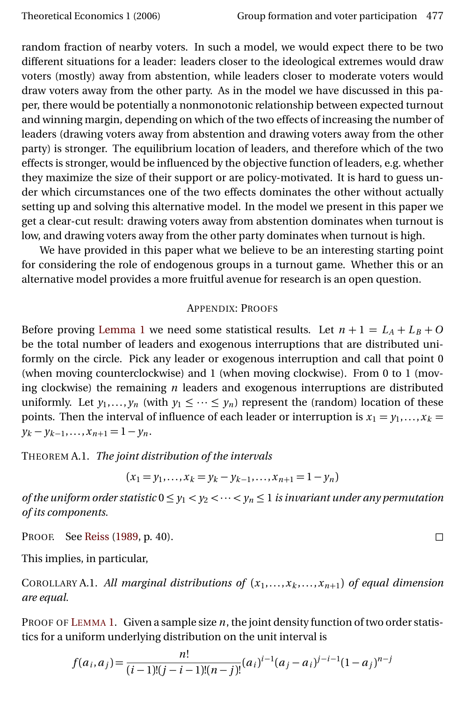<span id="page-16-2"></span>random fraction of nearby voters. In such a model, we would expect there to be two different situations for a leader: leaders closer to the ideological extremes would draw voters (mostly) away from abstention, while leaders closer to moderate voters would draw voters away from the other party. As in the model we have discussed in this paper, there would be potentially a nonmonotonic relationship between expected turnout and winning margin, depending on which of the two effects of increasing the number of leaders (drawing voters away from abstention and drawing voters away from the other party) is stronger. The equilibrium location of leaders, and therefore which of the two effects is stronger, would be influenced by the objective function of leaders, e.g. whether they maximize the size of their support or are policy-motivated. It is hard to guess under which circumstances one of the two effects dominates the other without actually setting up and solving this alternative model. In the model we present in this paper we get a clear-cut result: drawing voters away from abstention dominates when turnout is low, and drawing voters away from the other party dominates when turnout is high.

We have provided in this paper what we believe to be an interesting starting point for considering the role of endogenous groups in a turnout game. Whether this or an alternative model provides a more fruitful avenue for research is an open question.

## APPENDIX: PROOFS

<span id="page-16-0"></span>Before proving [Lemma 1](#page-6-1) we need some statistical results. Let  $n + 1 = L_A + L_B + O$ be the total number of leaders and exogenous interruptions that are distributed uniformly on the circle. Pick any leader or exogenous interruption and call that point 0 (when moving counterclockwise) and 1 (when moving clockwise). From 0 to 1 (moving clockwise) the remaining *n* leaders and exogenous interruptions are distributed uniformly. Let  $y_1, \ldots, y_n$  (with  $y_1 \leq \cdots \leq y_n$ ) represent the (random) location of these points. Then the interval of influence of each leader or interruption is  $x_1 = y_1, \ldots, x_k =$  $y_k - y_{k-1}, \ldots, x_{n+1} = 1 - y_n.$ 

THEOREM A.1. *The joint distribution of the intervals*

$$
(x_1 = y_1, \ldots, x_k = y_k - y_{k-1}, \ldots, x_{n+1} = 1 - y_n)
$$

*of the uniform order statistic*  $0 \le y_1 < y_2 < \cdots < y_n \le 1$  *is invariant under any permutation of its components.*

PROOF. See [Reiss](#page-26-9) [\(1989,](#page-26-9) p. 40).

This implies, in particular,

<span id="page-16-1"></span>COROLLARY A.1. *All marginal distributions of*  $(x_1,...,x_k,...,x_{n+1})$  *of equal dimension are equal.*

PROOF OF L[EMMA](#page-6-1) 1. Given a sample size *n*, the joint density function of two order statistics for a uniform underlying distribution on the unit interval is

$$
f(a_i, a_j) = \frac{n!}{(i-1)!(j-i-1)!(n-j)!} (a_i)^{i-1} (a_j - a_i)^{j-i-1} (1 - a_j)^{n-j}
$$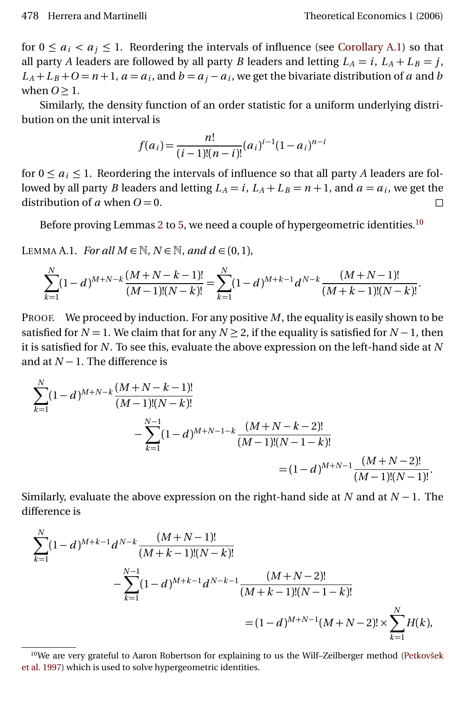<span id="page-17-2"></span>for  $0 \le a_i < a_j \le 1$ . Reordering the intervals of influence (see [Corollary A.1\)](#page-16-1) so that all party *A* leaders are followed by all party *B* leaders and letting  $L_A = i$ ,  $L_A + L_B = j$ ,  $L_A + L_B + O = n + 1$ ,  $a = a_i$ , and  $b = a_j - a_i$ , we get the bivariate distribution of *a* and *b* when  $Q > 1$ .

Similarly, the density function of an order statistic for a uniform underlying distribution on the unit interval is

$$
f(a_i) = \frac{n!}{(i-1)!(n-i)!} (a_i)^{i-1} (1-a_i)^{n-i}
$$

for  $0 \le a_i \le 1$ . Reordering the intervals of influence so that all party A leaders are followed by all party *B* leaders and letting  $L_A = i$ ,  $L_A + L_B = n + 1$ , and  $a = a_i$ , we get the distribution of *a* when  $O = 0$ .

Before proving Lemmas [2](#page-7-1) to [5,](#page-14-0) we need a couple of hypergeometric identities.<sup>[10](#page-17-0)</sup>

<span id="page-17-1"></span>LEMMA A.1. *For all*  $M \in \mathbb{N}$ *,*  $N \in \mathbb{N}$ *, and*  $d \in (0,1)$ *,* 

$$
\sum_{k=1}^{N} (1-d)^{M+N-k} \frac{(M+N-k-1)!}{(M-1)!(N-k)!} = \sum_{k=1}^{N} (1-d)^{M+k-1} d^{N-k} \frac{(M+N-1)!}{(M+k-1)!(N-k)!}.
$$

PROOF. We proceed by induction. For any positive *M*, the equality is easily shown to be satisfied for  $N = 1$ . We claim that for any  $N \ge 2$ , if the equality is satisfied for  $N - 1$ , then it is satisfied for *N*. To see this, evaluate the above expression on the left-hand side at *N* and at *N* − 1. The difference is

$$
\sum_{k=1}^{N} (1-d)^{M+N-k} \frac{(M+N-k-1)!}{(M-1)!(N-k)!}
$$
  
 
$$
-\sum_{k=1}^{N-1} (1-d)^{M+N-1-k} \frac{(M+N-k-2)!}{(M-1)!(N-1-k)!}
$$
  
 
$$
= (1-d)^{M+N-1} \frac{(M+N-2)!}{(M-1)!(N-1)!}.
$$

Similarly, evaluate the above expression on the right-hand side at *N* and at  $N-1$ . The difference is

$$
\sum_{k=1}^{N} (1-d)^{M+k-1} d^{N-k} \frac{(M+N-1)!}{(M+k-1)!(N-k)!}
$$
  
 
$$
-\sum_{k=1}^{N-1} (1-d)^{M+k-1} d^{N-k-1} \frac{(M+N-2)!}{(M+k-1)!(N-1-k)!}
$$
  
 
$$
= (1-d)^{M+N-1}(M+N-2)! \times \sum_{k=1}^{N} H(k),
$$

<span id="page-17-0"></span><sup>10</sup>We are very grateful to Aaron Robertson for explaining to us the Wilf–Zeilberger method [\(Petkovšek](#page-26-10) [et al.](#page-26-10) [1997\)](#page-26-10) which is used to solve hypergeometric identities.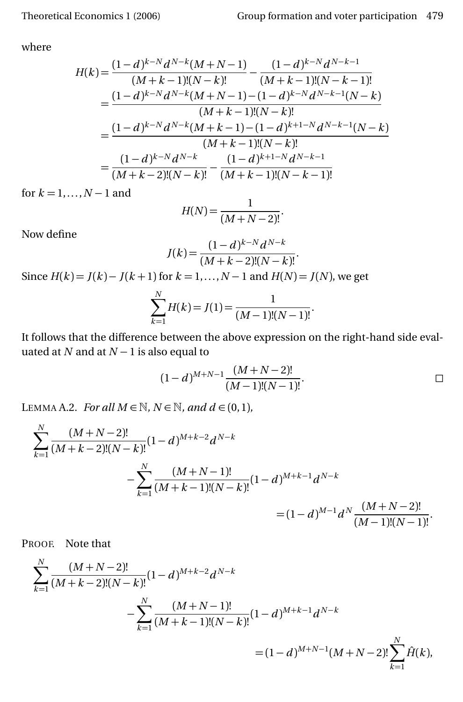where

$$
H(k) = \frac{(1-d)^{k-N}d^{N-k}(M+N-1)}{(M+k-1)!(N-k)!} - \frac{(1-d)^{k-N}d^{N-k-1}}{(M+k-1)!(N-k-1)!}
$$
  
= 
$$
\frac{(1-d)^{k-N}d^{N-k}(M+N-1) - (1-d)^{k-N}d^{N-k-1}(N-k)}{(M+k-1)!(N-k)!}
$$
  
= 
$$
\frac{(1-d)^{k-N}d^{N-k}(M+k-1) - (1-d)^{k+1-N}d^{N-k-1}(N-k)}{(M+k-1)!(N-k)!}
$$
  
= 
$$
\frac{(1-d)^{k-N}d^{N-k}}{(M+k-2)!(N-k)!} - \frac{(1-d)^{k+1-N}d^{N-k-1}}{(M+k-1)!(N-k-1)!}
$$

for  $k = 1, ..., N - 1$  and

$$
H(N) = \frac{1}{(M+N-2)!}.
$$

Now define

$$
J(k) = \frac{(1-d)^{k-N} d^{N-k}}{(M+k-2)!(N-k)!}.
$$

Since  $H(k) = J(k) - J(k+1)$  for  $k = 1, ..., N-1$  and  $H(N) = J(N)$ , we get

$$
\sum_{k=1}^{N} H(k) = J(1) = \frac{1}{(M-1)!(N-1)!}.
$$

It follows that the difference between the above expression on the right-hand side evaluated at *N* and at *N* − 1 is also equal to

$$
(1-d)^{M+N-1}\frac{(M+N-2)!}{(M-1)!(N-1)!}.
$$

<span id="page-18-0"></span>LEMMA A.2. *For all*  $M \in \mathbb{N}$ *, N*  $\in \mathbb{N}$ *, and*  $d \in (0,1)$ *,* 

$$
\sum_{k=1}^{N} \frac{(M+N-2)!}{(M+k-2)!(N-k)!} (1-d)^{M+k-2} d^{N-k}
$$
  
 
$$
-\sum_{k=1}^{N} \frac{(M+N-1)!}{(M+k-1)!(N-k)!} (1-d)^{M+k-1} d^{N-k}
$$
  
 
$$
= (1-d)^{M-1} d^{N} \frac{(M+N-2)!}{(M-1)!(N-1)!}.
$$

PROOF. Note that

$$
\sum_{k=1}^{N} \frac{(M+N-2)!}{(M+k-2)!(N-k)!} (1-d)^{M+k-2} d^{N-k}
$$
  
 
$$
-\sum_{k=1}^{N} \frac{(M+N-1)!}{(M+k-1)!(N-k)!} (1-d)^{M+k-1} d^{N-k}
$$
  
 
$$
= (1-d)^{M+N-1} (M+N-2)! \sum_{k=1}^{N} \hat{H}(k),
$$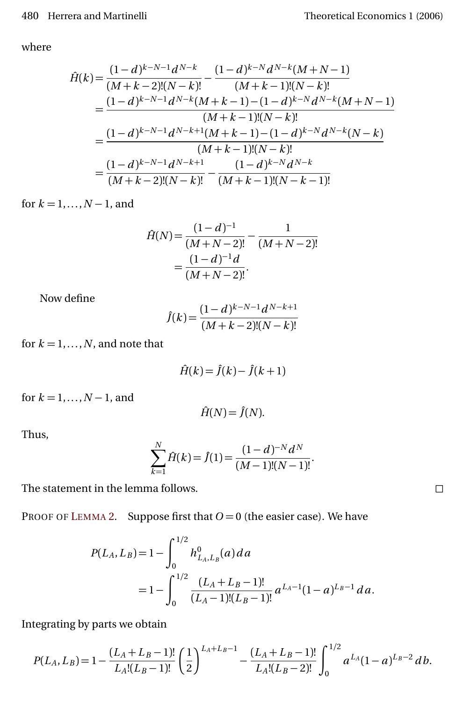where

$$
\hat{H}(k) = \frac{(1-d)^{k-N-1}d^{N-k}}{(M+k-2)!(N-k)!} - \frac{(1-d)^{k-N}d^{N-k}(M+N-1)}{(M+k-1)!(N-k)!}
$$
\n
$$
= \frac{(1-d)^{k-N-1}d^{N-k}(M+k-1) - (1-d)^{k-N}d^{N-k}(M+N-1)}{(M+k-1)!(N-k)!}
$$
\n
$$
= \frac{(1-d)^{k-N-1}d^{N-k+1}(M+k-1) - (1-d)^{k-N}d^{N-k}(N-k)}{(M+k-1)!(N-k)!}
$$
\n
$$
= \frac{(1-d)^{k-N-1}d^{N-k+1}}{(M+k-2)!(N-k)!} - \frac{(1-d)^{k-N}d^{N-k}}{(M+k-1)!(N-k-1)!}
$$

for  $k = 1, ..., N - 1$ , and

$$
\hat{H}(N) = \frac{(1-d)^{-1}}{(M+N-2)!} - \frac{1}{(M+N-2)!}
$$

$$
= \frac{(1-d)^{-1}d}{(M+N-2)!}.
$$

Now define

$$
\hat{J}(k) = \frac{(1-d)^{k-N-1}d^{N-k+1}}{(M+k-2)!(N-k)!}
$$

for  $k = 1, \ldots, N$ , and note that

$$
\hat{H}(k) = \hat{J}(k) - \hat{J}(k+1)
$$

for  $k = 1, ..., N - 1$ , and

$$
\hat{H}(N) = \hat{J}(N).
$$

Thus,

$$
\sum_{k=1}^{N} \hat{H}(k) = \hat{J}(1) = \frac{(1-d)^{-N} d^{N}}{(M-1)!(N-1)!}.
$$

The statement in the lemma follows.

PROOF OF L[EMMA](#page-7-1) 2. Suppose first that  $O = 0$  (the easier case). We have

$$
P(L_A, L_B) = 1 - \int_0^{1/2} h_{L_A, L_B}^0(a) \, da
$$
  
=  $1 - \int_0^{1/2} \frac{(L_A + L_B - 1)!}{(L_A - 1)!(L_B - 1)!} a^{L_A - 1} (1 - a)^{L_B - 1} \, da.$ 

Integrating by parts we obtain

$$
P(L_A, L_B) = 1 - \frac{(L_A + L_B - 1)!}{L_A!(L_B - 1)!} \left(\frac{1}{2}\right)^{L_A + L_B - 1} - \frac{(L_A + L_B - 1)!}{L_A!(L_B - 2)!} \int_0^{1/2} a^{L_A} (1 - a)^{L_B - 2} \, db.
$$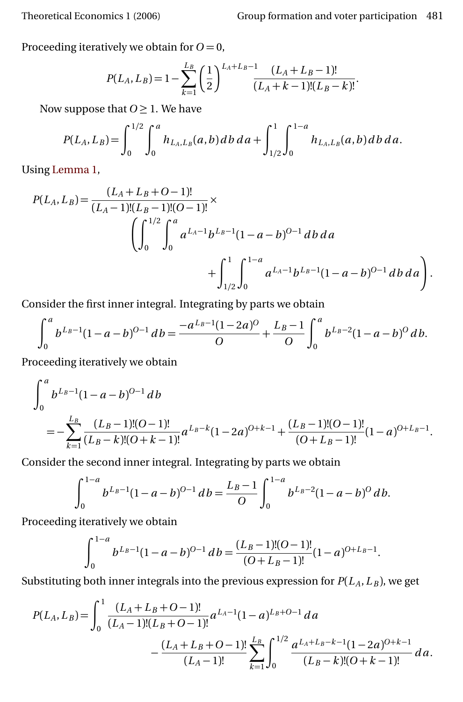Proceeding iteratively we obtain for  $O = 0$ ,

$$
P(L_A, L_B) = 1 - \sum_{k=1}^{L_B} \left(\frac{1}{2}\right)^{L_A + L_B - 1} \frac{(L_A + L_B - 1)!}{(L_A + k - 1)!(L_B - k)!}.
$$

Now suppose that  $0 \geq 1$ . We have

$$
P(L_A, L_B) = \int_0^{1/2} \int_0^a h_{L_A, L_B}(a, b) \, db \, da + \int_{1/2}^1 \int_0^{1-a} h_{L_A, L_B}(a, b) \, db \, da.
$$

Using [Lemma 1,](#page-6-1)

$$
P(L_A, L_B) = \frac{(L_A + L_B + O - 1)!}{(L_A - 1)!(L_B - 1)!(O - 1)!} \times \left( \int_0^{1/2} \int_0^a a^{L_A - 1} b^{L_B - 1} (1 - a - b)^{O - 1} db da + \int_{1/2}^1 \int_0^{1 - a} a^{L_A - 1} b^{L_B - 1} (1 - a - b)^{O - 1} db da \right).
$$

Consider the first inner integral. Integrating by parts we obtain

$$
\int_0^a b^{L_B-1} (1-a-b)^{O-1} db = \frac{-a^{L_B-1} (1-2a)^O}{O} + \frac{L_B-1}{O} \int_0^a b^{L_B-2} (1-a-b)^O db.
$$

Proceeding iteratively we obtain

$$
\int_0^a b^{L_B-1} (1-a-b)^{O-1} db
$$
  
= 
$$
-\sum_{k=1}^{L_B} \frac{(L_B-1)!(O-1)!}{(L_B-k)!(O+k-1)!} a^{L_B-k} (1-2a)^{O+k-1} + \frac{(L_B-1)!(O-1)!}{(O+L_B-1)!} (1-a)^{O+L_B-1}.
$$

Consider the second inner integral. Integrating by parts we obtain

$$
\int_0^{1-a} b^{L_B-1} (1-a-b)^{0-1} db = \frac{L_B-1}{O} \int_0^{1-a} b^{L_B-2} (1-a-b)^0 db.
$$

Proceeding iteratively we obtain

$$
\int_0^{1-a} b^{L_B-1} (1-a-b)^{O-1} db = \frac{(L_B-1)!(O-1)!}{(O+L_B-1)!} (1-a)^{O+L_B-1}.
$$

Substituting both inner integrals into the previous expression for  $P(L_A, L_B)$ , we get

$$
P(L_A, L_B) = \int_0^1 \frac{(L_A + L_B + O - 1)!}{(L_A - 1)!(L_B + O - 1)!} a^{L_A - 1} (1 - a)^{L_B + O - 1} da
$$

$$
- \frac{(L_A + L_B + O - 1)!}{(L_A - 1)!} \sum_{k=1}^{L_B} \int_0^{1/2} \frac{a^{L_A + L_B - k - 1} (1 - 2a)^{O + k - 1}}{(L_B - k)!(O + k - 1)!} da.
$$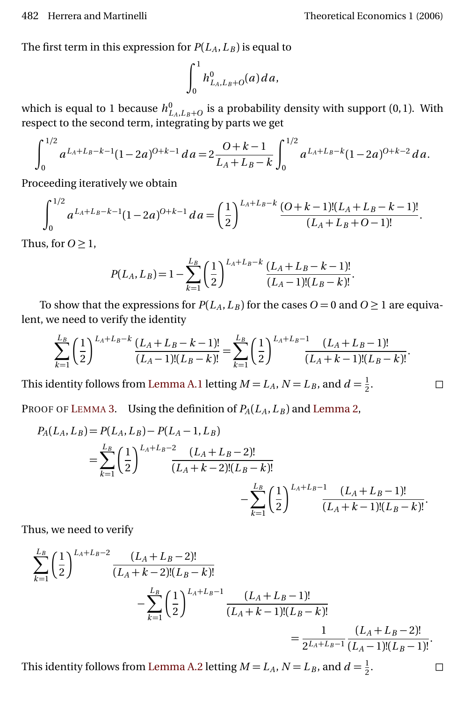The first term in this expression for  $P(L_A, L_B)$  is equal to

$$
\int_0^1 h^0_{L_A,L_B+O}(a)da,
$$

which is equal to 1 because  $h_{L_A, L_B+O}^0$  is a probability density with support  $(0, 1)$ . With respect to the second term, integrating by parts we get

$$
\int_0^{1/2} a^{L_A+L_B-k-1} (1-2a)^{0+k-1} da = 2 \frac{0+k-1}{L_A+L_B-k} \int_0^{1/2} a^{L_A+L_B-k} (1-2a)^{0+k-2} da.
$$

Proceeding iteratively we obtain

$$
\int_0^{1/2} a^{L_A+L_B-k-1} (1-2a)^{O+k-1} da = \left(\frac{1}{2}\right)^{L_A+L_B-k} \frac{(O+k-1)!(L_A+L_B-k-1)!}{(L_A+L_B+O-1)!}.
$$

Thus, for  $O \geq 1$ ,

$$
P(L_A, L_B) = 1 - \sum_{k=1}^{L_B} \left(\frac{1}{2}\right)^{L_A + L_B - k} \frac{(L_A + L_B - k - 1)!}{(L_A - 1)!(L_B - k)!}.
$$

To show that the expressions for  $P(L_A, L_B)$  for the cases  $O = 0$  and  $O \ge 1$  are equivalent, we need to verify the identity

$$
\sum_{k=1}^{L_B} \left(\frac{1}{2}\right)^{L_A+L_B-k} \frac{(L_A+L_B-k-1)!}{(L_A-1)!(L_B-k)!} = \sum_{k=1}^{L_B} \left(\frac{1}{2}\right)^{L_A+L_B-1} \frac{(L_A+L_B-1)!}{(L_A+k-1)!(L_B-k)!}.
$$

This identity follows from [Lemma A.1](#page-17-1) letting  $M = L_A$ ,  $N = L_B$ , and  $d = \frac{1}{2}$ 2

PROOF OF L[EMMA](#page-7-3) 3. Using the definition of  $P_A(L_A, L_B)$  and [Lemma 2,](#page-7-1)

$$
P_A(L_A, L_B) = P(L_A, L_B) - P(L_A - 1, L_B)
$$
  
= 
$$
\sum_{k=1}^{L_B} \left(\frac{1}{2}\right)^{L_A + L_B - 2} \frac{(L_A + L_B - 2)!}{(L_A + k - 2)!(L_B - k)!}
$$

$$
- \sum_{k=1}^{L_B} \left(\frac{1}{2}\right)^{L_A + L_B - 1} \frac{(L_A + L_B - 1)!}{(L_A + k - 1)!(L_B - k)!}.
$$

Thus, we need to verify

$$
\sum_{k=1}^{L_B} \left(\frac{1}{2}\right)^{L_A + L_B - 2} \frac{(L_A + L_B - 2)!}{(L_A + k - 2)!(L_B - k)!} - \sum_{k=1}^{L_B} \left(\frac{1}{2}\right)^{L_A + L_B - 1} \frac{(L_A + L_B - 1)!}{(L_A + k - 1)!(L_B - k)!} = \frac{1}{2^{L_A + L_B - 1}} \frac{(L_A + L_B - 2)!}{(L_A - 1)!(L_B - 1)!}.
$$

This identity follows from [Lemma A.2](#page-18-0) letting  $M = L_A$ ,  $N = L_B$ , and  $d = \frac{1}{2}$ 2

. — П

. — П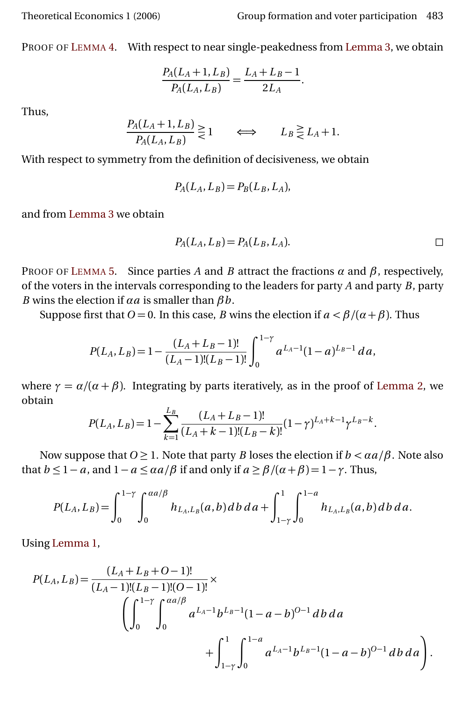PROOF OF L[EMMA](#page-7-2) 4. With respect to near single-peakedness from [Lemma 3,](#page-7-3) we obtain

$$
\frac{P_A(L_A+1,L_B)}{P_A(L_A,L_B)} = \frac{L_A + L_B - 1}{2L_A}.
$$

Thus,

$$
\frac{P_A(L_A+1,L_B)}{P_A(L_A,L_B)} \gtrless 1 \qquad \Longleftrightarrow \qquad L_B \gtrless L_A+1.
$$

With respect to symmetry from the definition of decisiveness, we obtain

$$
P_A(L_A, L_B) = P_B(L_B, L_A),
$$

and from [Lemma 3](#page-7-3) we obtain

$$
P_A(L_A, L_B) = P_A(L_B, L_A).
$$

PROOF OF L[EMMA](#page-14-0) 5. Since parties *A* and *B* attract the fractions  $\alpha$  and  $\beta$ , respectively, of the voters in the intervals corresponding to the leaders for party *A* and party *B*, party *B* wins the election if *αa* is smaller than *βb*.

Suppose first that  $O = 0$ . In this case, *B* wins the election if  $a < \beta/(\alpha + \beta)$ . Thus

$$
P(L_A, L_B) = 1 - \frac{(L_A + L_B - 1)!}{(L_A - 1)!(L_B - 1)!} \int_0^{1-\gamma} a^{L_A - 1} (1 - a)^{L_B - 1} da,
$$

where  $\gamma = \alpha/(\alpha + \beta)$ . Integrating by parts iteratively, as in the proof of [Lemma 2,](#page-7-1) we obtain

$$
P(L_A, L_B) = 1 - \sum_{k=1}^{L_B} \frac{(L_A + L_B - 1)!}{(L_A + k - 1)!(L_B - k)!} (1 - \gamma)^{L_A + k - 1} \gamma^{L_B - k}.
$$

Now suppose that  $O \geq 1$ . Note that party *B* loses the election if  $b < \alpha a/\beta$ . Note also that  $b \le 1 - a$ , and  $1 - a \le \alpha a/\beta$  if and only if  $a \ge \beta/(\alpha + \beta) = 1 - \gamma$ . Thus,

$$
P(L_A, L_B) = \int_0^{1-\gamma} \int_0^{aa/\beta} h_{L_A, L_B}(a, b) \, db \, da + \int_{1-\gamma}^1 \int_0^{1-a} h_{L_A, L_B}(a, b) \, db \, da.
$$

Using [Lemma 1,](#page-6-1)

$$
P(L_A, L_B) = \frac{(L_A + L_B + O - 1)!}{(L_A - 1)!(L_B - 1)!(O - 1)!} \times \left( \int_0^{1-\gamma} \int_0^{\alpha a/\beta} a^{L_A - 1} b^{L_B - 1} (1 - a - b)^{O - 1} \, db \, da + \int_{1-\gamma}^1 \int_0^{1-a} a^{L_A - 1} b^{L_B - 1} (1 - a - b)^{O - 1} \, db \, da \right).
$$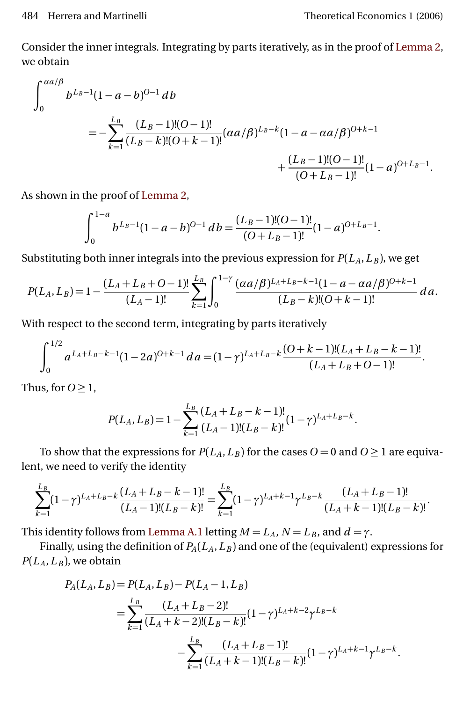Consider the inner integrals. Integrating by parts iteratively, as in the proof of [Lemma 2,](#page-7-1) we obtain

$$
\int_0^{aa/\beta} b^{L_B-1} (1-a-b)^{O-1} db
$$
  
=  $-\sum_{k=1}^{L_B} \frac{(L_B-1)!(O-1)!}{(L_B-k)!(O+k-1)!} (\alpha a/\beta)^{L_B-k} (1-a-\alpha a/\beta)^{O+k-1}$   
+  $\frac{(L_B-1)!(O-1)!}{(O+L_B-1)!} (1-a)^{O+L_B-1}$ .

As shown in the proof of [Lemma 2,](#page-7-1)

$$
\int_0^{1-a} b^{L_B-1} (1-a-b)^{O-1} db = \frac{(L_B-1)!(O-1)!}{(O+L_B-1)!} (1-a)^{O+L_B-1}.
$$

Substituting both inner integrals into the previous expression for  $P(L_A, L_B)$ , we get

$$
P(L_A, L_B) = 1 - \frac{(L_A + L_B + O - 1)!}{(L_A - 1)!} \sum_{k=1}^{L_B} \int_0^{1-\gamma} \frac{(\alpha a/\beta)^{L_A + L_B - k - 1} (1 - a - \alpha a/\beta)^{O + k - 1}}{(L_B - k)! (O + k - 1)!} \, da.
$$

With respect to the second term, integrating by parts iteratively

$$
\int_0^{1/2} a^{L_A+L_B-k-1} (1-2a)^{O+k-1} da = (1-\gamma)^{L_A+L_B-k} \frac{(O+k-1)!(L_A+L_B-k-1)!}{(L_A+L_B+O-1)!}.
$$

Thus, for  $O \geq 1$ ,

$$
P(L_A, L_B) = 1 - \sum_{k=1}^{L_B} \frac{(L_A + L_B - k - 1)!}{(L_A - 1)!(L_B - k)!} (1 - \gamma)^{L_A + L_B - k}.
$$

To show that the expressions for  $P(L_A, L_B)$  for the cases  $O = 0$  and  $O \ge 1$  are equivalent, we need to verify the identity

$$
\sum_{k=1}^{L_B} (1-\gamma)^{L_A+L_B-k} \frac{(L_A+L_B-k-1)!}{(L_A-1)!(L_B-k)!} = \sum_{k=1}^{L_B} (1-\gamma)^{L_A+k-1} \gamma^{L_B-k} \frac{(L_A+L_B-1)!}{(L_A+k-1)!(L_B-k)!}.
$$

This identity follows from [Lemma A.1](#page-17-1) letting  $M = L_A$ ,  $N = L_B$ , and  $d = \gamma$ .

Finally, using the definition of  $P_A(L_A, L_B)$  and one of the (equivalent) expressions for  $P(L_A, L_B)$ , we obtain

$$
P_A(L_A, L_B) = P(L_A, L_B) - P(L_A - 1, L_B)
$$
  
= 
$$
\sum_{k=1}^{L_B} \frac{(L_A + L_B - 2)!}{(L_A + k - 2)!(L_B - k)!} (1 - \gamma)^{L_A + k - 2} \gamma^{L_B - k}
$$
  
- 
$$
\sum_{k=1}^{L_B} \frac{(L_A + L_B - 1)!}{(L_A + k - 1)!(L_B - k)!} (1 - \gamma)^{L_A + k - 1} \gamma^{L_B - k}.
$$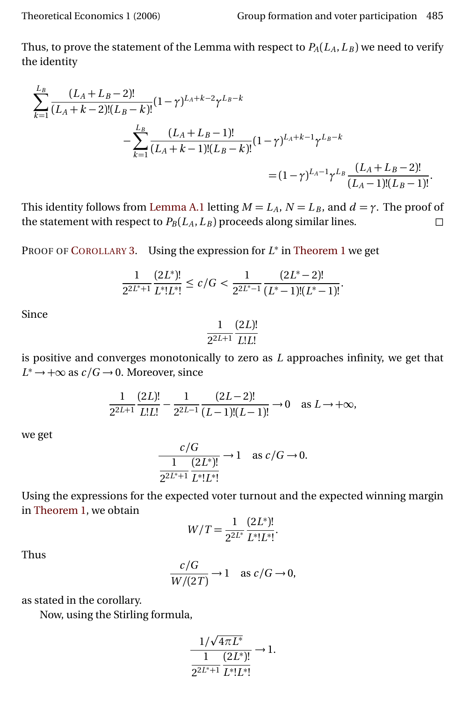Thus, to prove the statement of the Lemma with respect to  $P_A(L_A, L_B)$  we need to verify the identity

$$
\sum_{k=1}^{L_B} \frac{(L_A + L_B - 2)!}{(L_A + k - 2)!(L_B - k)!} (1 - \gamma)^{L_A + k - 2} \gamma^{L_B - k}
$$
  

$$
- \sum_{k=1}^{L_B} \frac{(L_A + L_B - 1)!}{(L_A + k - 1)!(L_B - k)!} (1 - \gamma)^{L_A + k - 1} \gamma^{L_B - k}
$$
  

$$
= (1 - \gamma)^{L_A - 1} \gamma^{L_B} \frac{(L_A + L_B - 2)!}{(L_A - 1)!(L_B - 1)!}.
$$

This identity follows from [Lemma A.1](#page-17-1) letting  $M = L_A$ ,  $N = L_B$ , and  $d = \gamma$ . The proof of the statement with respect to  $P_B(L_A, L_B)$  proceeds along similar lines.

PROOF OF C[OROLLARY](#page-13-1) 3. Using the expression for  $L^*$  in [Theorem 1](#page-5-2) we get

$$
\frac{1}{2^{2L^*+1}}\frac{(2L^*)!}{L^*!L^*!}\leq c/G<\frac{1}{2^{2L^*-1}}\frac{(2L^*-2)!}{(L^*-1)!(L^*-1)!}.
$$

Since

$$
\frac{1}{2^{2L+1}}\frac{(2L)!}{L!L!}
$$

is positive and converges monotonically to zero as *L* approaches infinity, we get that  $L^* \to +\infty$  as  $c/G \to 0$ . Moreover, since

$$
\frac{1}{2^{2L+1}} \frac{(2L)!}{L!L!} - \frac{1}{2^{2L-1}} \frac{(2L-2)!}{(L-1)!(L-1)!} \to 0 \quad \text{as } L \to +\infty,
$$

we get

$$
\frac{c/G}{\frac{1}{2^{2L^*+1}}\frac{(2L^*)!}{L^*!L^*!}} \to 1 \quad \text{as } c/G \to 0.
$$

Using the expressions for the expected voter turnout and the expected winning margin in [Theorem 1,](#page-5-2) we obtain

$$
W/T = \frac{1}{2^{2L^*}} \frac{(2L^*)!}{L^*!L^*!}.
$$

Thus

$$
\frac{c/G}{W/(2T)} \to 1 \quad \text{as } c/G \to 0,
$$

as stated in the corollary.

Now, using the Stirling formula,

$$
\frac{1/\sqrt{4\pi L^*}}{1} \frac{1}{L^*L^*L^*} \to 1.
$$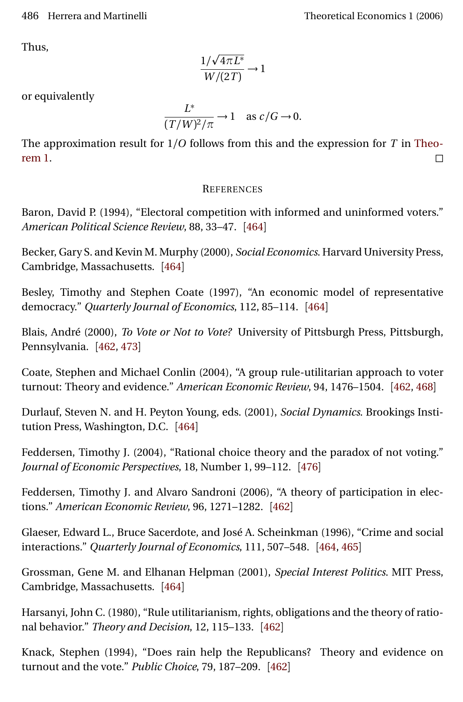Thus,

$$
\frac{1/\sqrt{4\pi L^*}}{W/(2T)} \to 1
$$

or equivalently

$$
\frac{L^*}{(T/W)^2/\pi} \to 1 \quad \text{as } c/G \to 0.
$$

The approximation result for 1*/O* follows from this and the expression for *T* in [Theo-](#page-5-2) $\Box$  [rem 1.](#page-5-2)

## **REFERENCES**

<span id="page-25-10"></span>Baron, David P. (1994), "Electoral competition with informed and uninformed voters." *American Political Science Review*, 88, 33–47. [[464](#page-3-2)]

<span id="page-25-7"></span>Becker, Gary S. and Kevin M. Murphy (2000), *Social Economics*. Harvard University Press, Cambridge, Massachusetts. [[464](#page-3-2)]

<span id="page-25-5"></span>Besley, Timothy and Stephen Coate (1997), "An economic model of representative democracy." *Quarterly Journal of Economics*, 112, 85–114. [[464](#page-3-2)]

<span id="page-25-3"></span>Blais, André (2000), *To Vote or Not to Vote?* University of Pittsburgh Press, Pittsburgh, Pennsylvania. [[462,](#page-1-3) [473](#page-12-0)]

<span id="page-25-2"></span>Coate, Stephen and Michael Conlin (2004), "A group rule-utilitarian approach to voter turnout: Theory and evidence." *American Economic Review*, 94, 1476–1504. [[462,](#page-1-3) [468](#page-7-4)]

<span id="page-25-8"></span>Durlauf, Steven N. and H. Peyton Young, eds. (2001), *Social Dynamics*. Brookings Institution Press, Washington, D.C. [[464](#page-3-2)]

<span id="page-25-11"></span>Feddersen, Timothy J. (2004), "Rational choice theory and the paradox of not voting." *Journal of Economic Perspectives*, 18, Number 1, 99–112. [[476](#page-15-0)]

<span id="page-25-0"></span>Feddersen, Timothy J. and Alvaro Sandroni (2006), "A theory of participation in elections." *American Economic Review*, 96, 1271–1282. [[462](#page-1-3)]

<span id="page-25-6"></span>Glaeser, Edward L., Bruce Sacerdote, and José A. Scheinkman (1996), "Crime and social interactions." *Quarterly Journal of Economics*, 111, 507–548. [[464,](#page-3-2) [465](#page-4-1)]

<span id="page-25-9"></span>Grossman, Gene M. and Elhanan Helpman (2001), *Special Interest Politics*. MIT Press, Cambridge, Massachusetts. [[464](#page-3-2)]

<span id="page-25-1"></span>Harsanyi, John C. (1980), "Rule utilitarianism, rights, obligations and the theory of rational behavior." *Theory and Decision*, 12, 115–133. [[462](#page-1-3)]

<span id="page-25-4"></span>Knack, Stephen (1994), "Does rain help the Republicans? Theory and evidence on turnout and the vote." *Public Choice*, 79, 187–209. [[462](#page-1-3)]